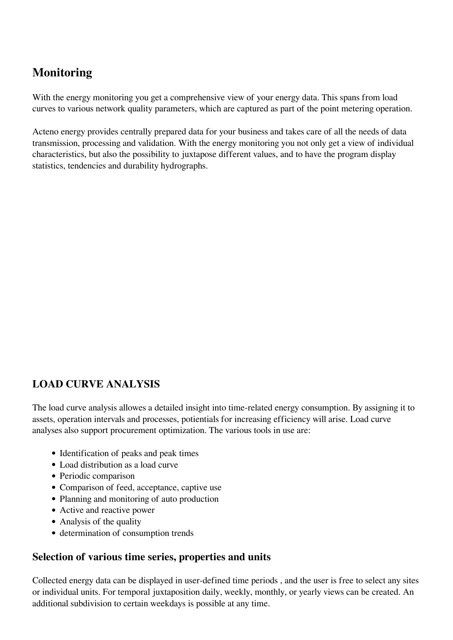# **Monitoring**

With the energy monitoring you get a comprehensive view of your energy data. This spans from load curves to various network quality parameters, which are captured as part of the point metering operation.

Acteno energy provides centrally prepared data for your business and takes care of all the needs of data transmission, processing and validation. With the energy monitoring you not only get a view of individual characteristics, but also the possibility to juxtapose different values, and to have the program display statistics, tendencies and durability hydrographs.

## **LOAD CURVE ANALYSIS**

The load curve analysis allowes a detailed insight into time-related energy consumption. By assigning it to assets, operation intervals and processes, potientials for increasing efficiency will arise. Load curve analyses also support procurement optimization. The various tools in use are:

- Identification of peaks and peak times
- Load distribution as a load curve
- Periodic comparison
- Comparison of feed, acceptance, captive use
- Planning and monitoring of auto production
- Active and reactive power
- Analysis of the quality
- determination of consumption trends

#### **Selection of various time series, properties and units**

Collected energy data can be displayed in user-defined time periods , and the user is free to select any sites or individual units. For temporal juxtaposition daily, weekly, monthly, or yearly views can be created. An additional subdivision to certain weekdays is possible at any time.